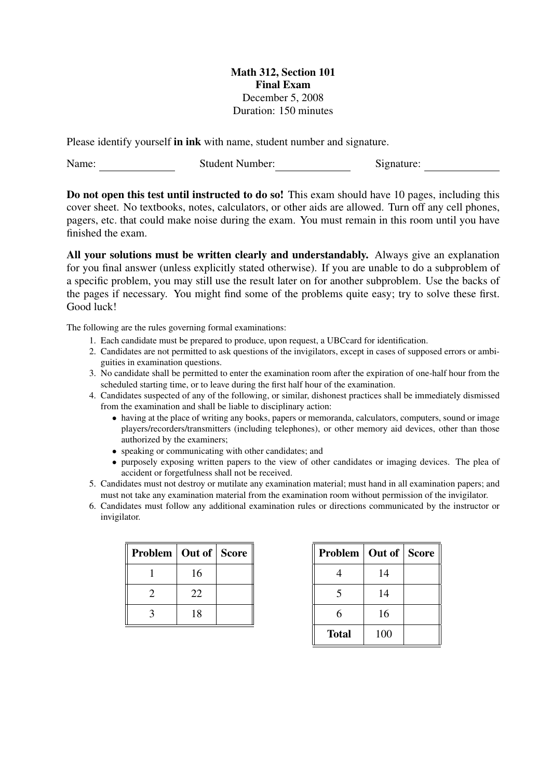## Math 312, Section 101 Final Exam December 5, 2008 Duration: 150 minutes

Please identify yourself in ink with name, student number and signature.

Name: Student Number: Signature:

Do not open this test until instructed to do so! This exam should have 10 pages, including this cover sheet. No textbooks, notes, calculators, or other aids are allowed. Turn off any cell phones, pagers, etc. that could make noise during the exam. You must remain in this room until you have finished the exam.

All your solutions must be written clearly and understandably. Always give an explanation for you final answer (unless explicitly stated otherwise). If you are unable to do a subproblem of a specific problem, you may still use the result later on for another subproblem. Use the backs of the pages if necessary. You might find some of the problems quite easy; try to solve these first. Good luck!

The following are the rules governing formal examinations:

- 1. Each candidate must be prepared to produce, upon request, a UBCcard for identification.
- 2. Candidates are not permitted to ask questions of the invigilators, except in cases of supposed errors or ambiguities in examination questions.
- 3. No candidate shall be permitted to enter the examination room after the expiration of one-half hour from the scheduled starting time, or to leave during the first half hour of the examination.
- 4. Candidates suspected of any of the following, or similar, dishonest practices shall be immediately dismissed from the examination and shall be liable to disciplinary action:
	- having at the place of writing any books, papers or memoranda, calculators, computers, sound or image players/recorders/transmitters (including telephones), or other memory aid devices, other than those authorized by the examiners;
	- speaking or communicating with other candidates; and
	- purposely exposing written papers to the view of other candidates or imaging devices. The plea of accident or forgetfulness shall not be received.
- 5. Candidates must not destroy or mutilate any examination material; must hand in all examination papers; and must not take any examination material from the examination room without permission of the invigilator.
- 6. Candidates must follow any additional examination rules or directions communicated by the instructor or invigilator.

| <b>Problem</b>        | Out of Score |  |
|-----------------------|--------------|--|
|                       | 16           |  |
| $\mathcal{D}_{\cdot}$ | 22           |  |
|                       | 18           |  |

| Problem      | Out of Score |  |
|--------------|--------------|--|
|              | 14           |  |
| 5            | 14           |  |
| 6            | 16           |  |
| <b>Total</b> | 100          |  |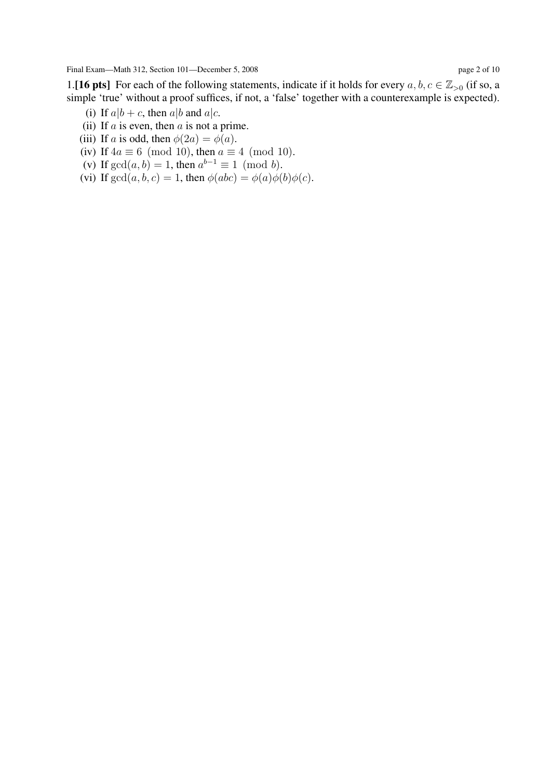Final Exam—Math 312, Section 101—December 5, 2008 page 2 of 10

1.[16 pts] For each of the following statements, indicate if it holds for every  $a, b, c \in \mathbb{Z}_{>0}$  (if so, a simple 'true' without a proof suffices, if not, a 'false' together with a counterexample is expected).

- (i) If  $a|b + c$ , then  $a|b$  and  $a|c$ .
- (ii) If  $a$  is even, then  $a$  is not a prime.
- (iii) If a is odd, then  $\phi(2a) = \dot{\phi}(a)$ .
- (iv) If  $4a \equiv 6 \pmod{10}$ , then  $a \equiv 4 \pmod{10}$ .
- (v) If  $gcd(a, b) = 1$ , then  $a^{b-1} \equiv 1 \pmod{b}$ .
- (vi) If  $gcd(a, b, c) = 1$ , then  $\phi(abc) = \phi(a)\phi(b)\phi(c)$ .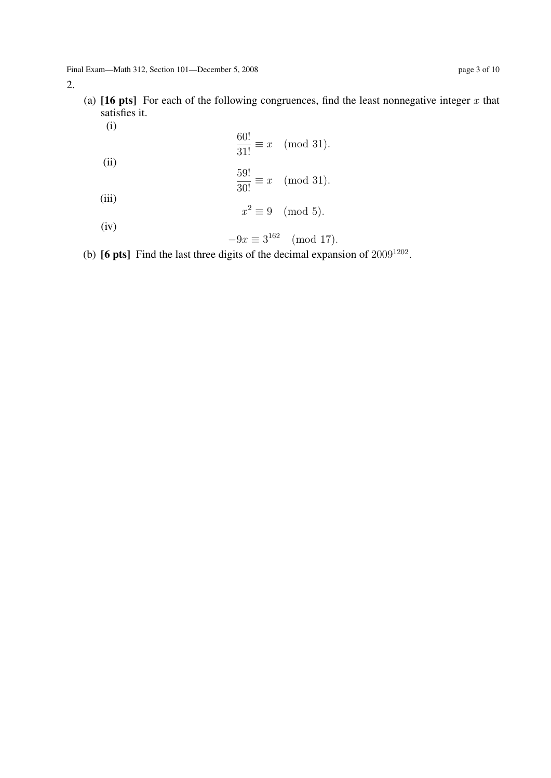2.

- (a) [16 pts] For each of the following congruences, find the least nonnegative integer  $x$  that satisfies it.
	- (i) 60! 31!  $\equiv x \pmod{31}.$ (ii) 59! 30!  $\equiv x \pmod{31}.$ (iii)  $x^2 \equiv 9 \pmod{5}$ . (iv)

$$
-9x \equiv 3^{162} \pmod{17}.
$$

(b)  $[6 \text{ pts}]$  Find the last three digits of the decimal expansion of  $2009^{1202}$ .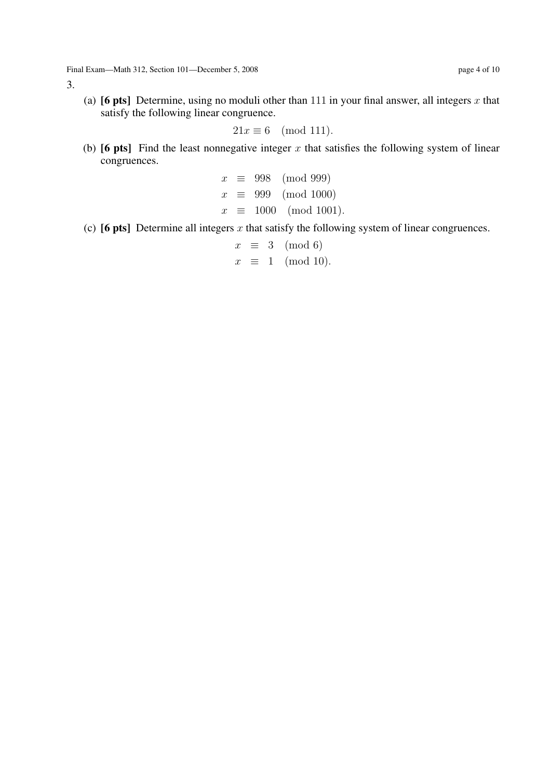3.

(a) [6 pts] Determine, using no moduli other than 111 in your final answer, all integers x that satisfy the following linear congruence.

$$
21x \equiv 6 \pmod{111}.
$$

(b)  $[6 \text{ pts}]$  Find the least nonnegative integer x that satisfies the following system of linear congruences.

$$
x \equiv 998 \pmod{999}
$$
  
\n
$$
x \equiv 999 \pmod{1000}
$$
  
\n
$$
x \equiv 1000 \pmod{1001}.
$$

(c)  $[6 \text{ pts}]$  Determine all integers x that satisfy the following system of linear congruences.

$$
x \equiv 3 \pmod{6}
$$
  

$$
x \equiv 1 \pmod{10}.
$$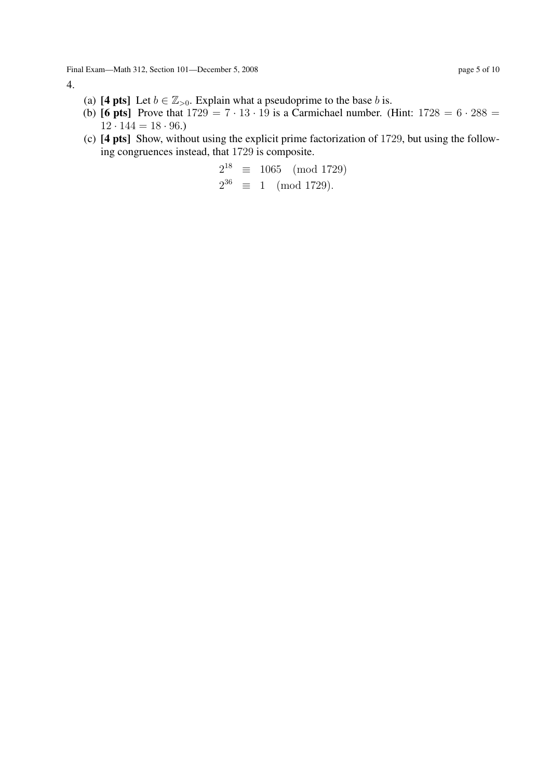Final Exam—Math 312, Section 101—December 5, 2008 page 5 of 10

4.

- (a) [4 pts] Let  $b \in \mathbb{Z}_{>0}$ . Explain what a pseudoprime to the base b is.
- (b) [6 pts] Prove that  $1729 = 7 \cdot 13 \cdot 19$  is a Carmichael number. (Hint:  $1728 = 6 \cdot 288 =$  $12 \cdot 144 = 18 \cdot 96.$
- (c) [4 pts] Show, without using the explicit prime factorization of 1729, but using the following congruences instead, that 1729 is composite.

$$
2^{18} \equiv 1065 \pmod{1729}
$$
  
\n $2^{36} \equiv 1 \pmod{1729}$ .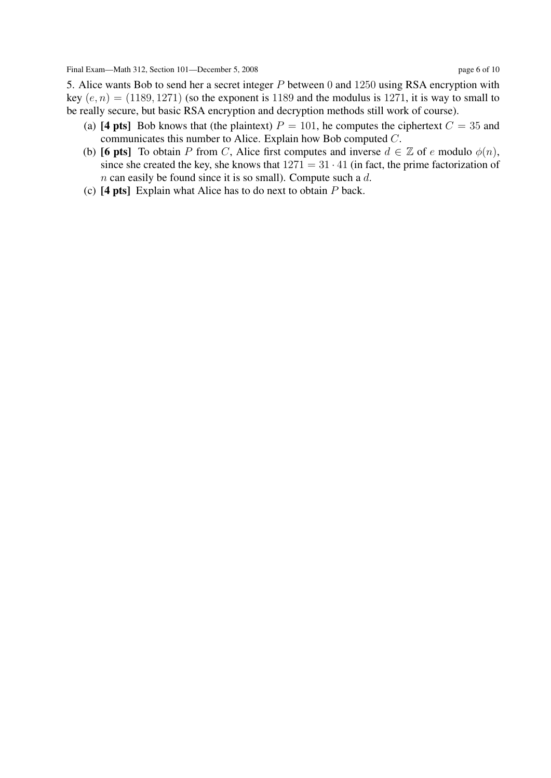5. Alice wants Bob to send her a secret integer P between 0 and 1250 using RSA encryption with key  $(e, n) = (1189, 1271)$  (so the exponent is 1189 and the modulus is 1271, it is way to small to be really secure, but basic RSA encryption and decryption methods still work of course).

- (a) [4 pts] Bob knows that (the plaintext)  $P = 101$ , he computes the ciphertext  $C = 35$  and communicates this number to Alice. Explain how Bob computed C.
- (b) [6 pts] To obtain P from C, Alice first computes and inverse  $d \in \mathbb{Z}$  of e modulo  $\phi(n)$ , since she created the key, she knows that  $1271 = 31 \cdot 41$  (in fact, the prime factorization of  $n$  can easily be found since it is so small). Compute such a  $d$ .
- (c)  $[4 \text{ pts}]$  Explain what Alice has to do next to obtain P back.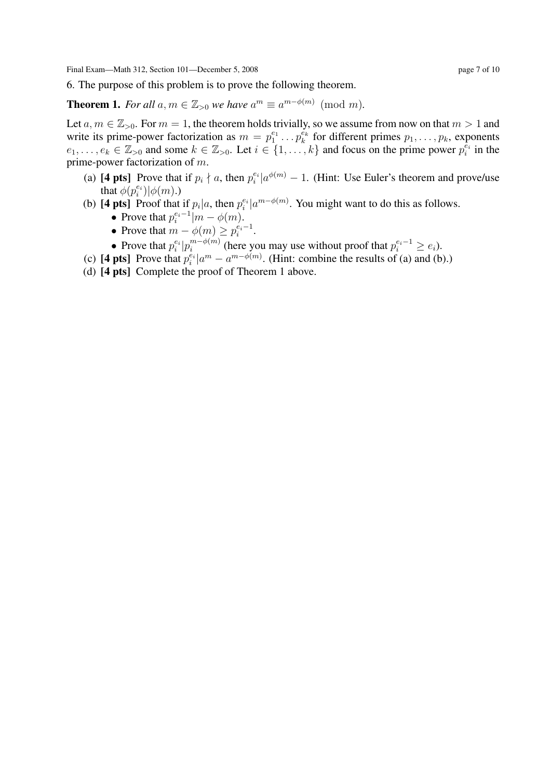Final Exam—Math 312, Section 101—December 5, 2008 page 7 of 10

6. The purpose of this problem is to prove the following theorem.

**Theorem 1.** *For all*  $a, m \in \mathbb{Z}_{>0}$  *we have*  $a^m \equiv a^{m-\phi(m)} \pmod{m}$ .

Let  $a, m \in \mathbb{Z}_{>0}$ . For  $m = 1$ , the theorem holds trivially, so we assume from now on that  $m > 1$  and write its prime-power factorization as  $m = p_1^{e_1} \dots p_k^{e_k}$  for different primes  $p_1, \dots, p_k$ , exponents  $e_1,\ldots,e_k\in\mathbb{Z}_{>0}$  and some  $k\in\mathbb{Z}_{>0}$ . Let  $i\in\{1,\ldots,k\}$  and focus on the prime power  $p_i^{\tilde{e}_i}$  in the prime-power factorization of m.

- (a) [4 pts] Prove that if  $p_i \nmid a$ , then  $p_i^{e_i} | a^{\phi(m)} 1$ . (Hint: Use Euler's theorem and prove/use that  $\phi(p_i^{e_i})|\phi(m)$ .)
- (b) [4 pts] Proof that if  $p_i | a$ , then  $p_i^{e_i} | a^{m-\phi(m)}$ . You might want to do this as follows. i
	- Prove that  $p_i^{e_i-1}|m \phi(m)$ .
	- Prove that  $m \phi(m) \ge p_i^{e_i 1}$ .
	- Prove that  $p_i^{e_i} | p_i^{m-\phi(m)}$  $i^{m-\phi(m)}$  (here you may use without proof that  $p_i^{e_i-1} \ge e_i$ ).
- (c) [4 pts] Prove that  $p_i^{e_i} | a^m a^{m-\phi(m)}$ . (Hint: combine the results of (a) and (b).)
- (d) [4 pts] Complete the proof of Theorem 1 above.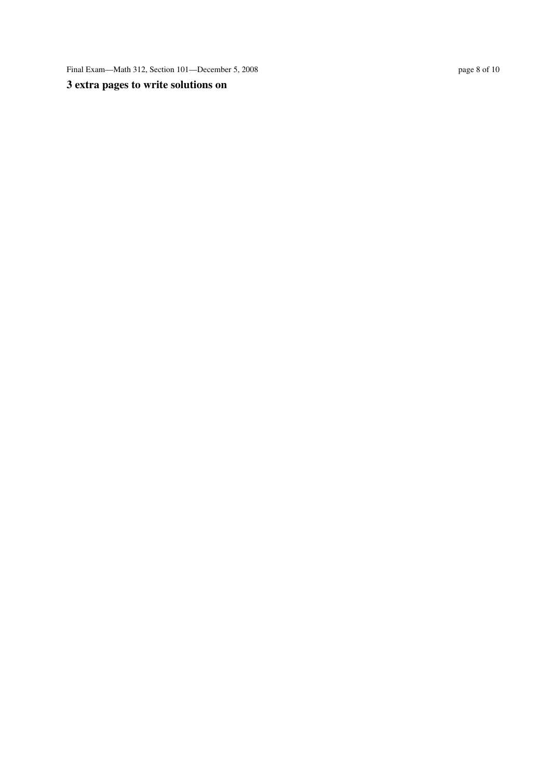Final Exam—Math 312, Section 101—December 5, 2008 page 8 of 10

## 3 extra pages to write solutions on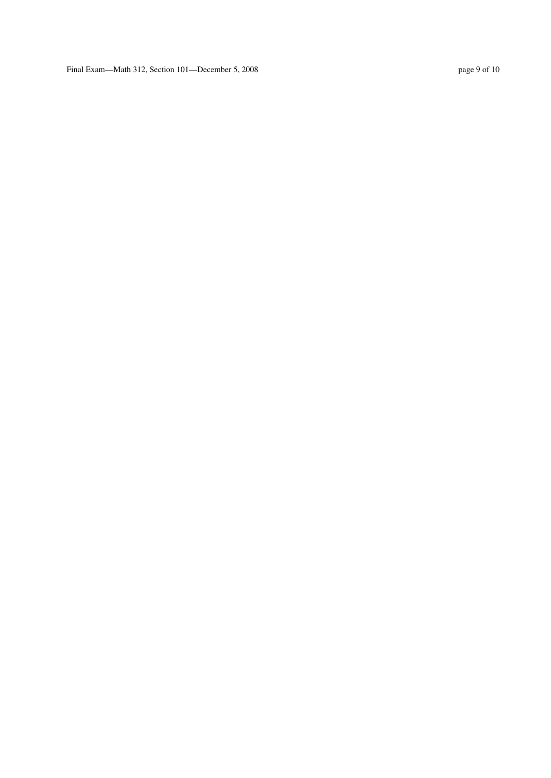Final Exam—Math 312, Section 101—December 5, 2008 page 9 of 10